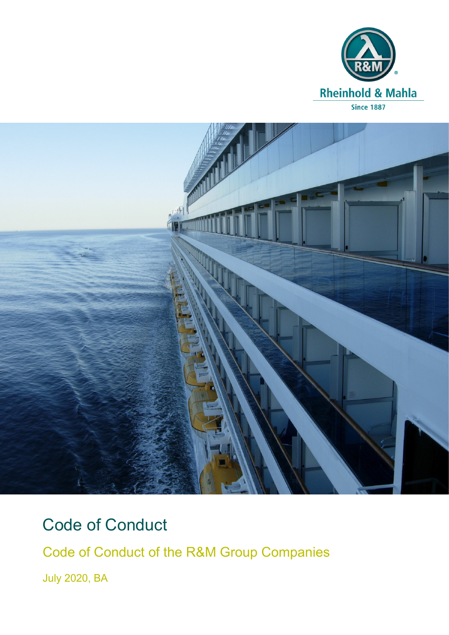



# Code of Conduct

Code of Conduct of the R&M Group Companies

July 2020, BA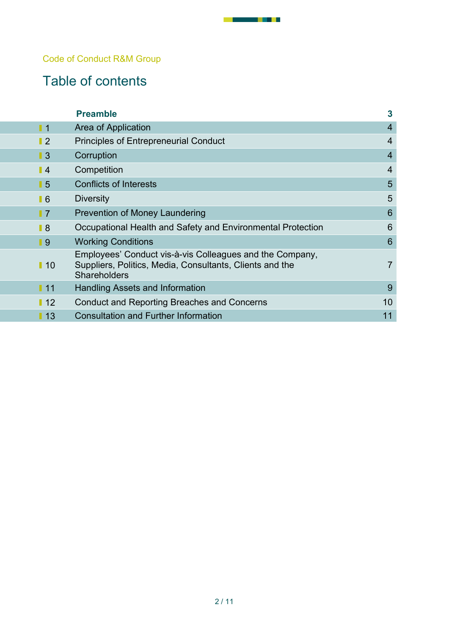#### Code of Conduct R&M Group

# Table of contents

|                   | <b>Preamble</b>                                                                                                                             | $\overline{\mathbf{3}}$ |
|-------------------|---------------------------------------------------------------------------------------------------------------------------------------------|-------------------------|
| $\blacksquare$ 1  | Area of Application                                                                                                                         | $\overline{4}$          |
| $\blacksquare$    | <b>Principles of Entrepreneurial Conduct</b>                                                                                                | 4                       |
| $\blacksquare$    | Corruption                                                                                                                                  | 4                       |
| $\blacksquare$    | Competition                                                                                                                                 | 4                       |
| $\blacksquare$ 5  | <b>Conflicts of Interests</b>                                                                                                               | 5                       |
| $\blacksquare$ 6  | <b>Diversity</b>                                                                                                                            | 5                       |
| $\blacksquare$    | <b>Prevention of Money Laundering</b>                                                                                                       | 6                       |
| $\blacksquare$    | Occupational Health and Safety and Environmental Protection                                                                                 | 6                       |
| $\blacksquare$    | <b>Working Conditions</b>                                                                                                                   | 6                       |
| $\blacksquare$ 10 | Employees' Conduct vis-à-vis Colleagues and the Company,<br>Suppliers, Politics, Media, Consultants, Clients and the<br><b>Shareholders</b> | $\overline{7}$          |
| 111               | <b>Handling Assets and Information</b>                                                                                                      | 9                       |
| 12                | <b>Conduct and Reporting Breaches and Concerns</b>                                                                                          | 10                      |
| $\blacksquare$ 13 | <b>Consultation and Further Information</b>                                                                                                 | 11                      |

- - - -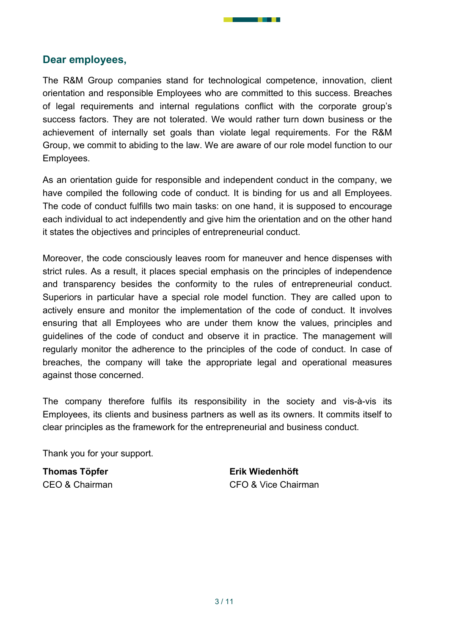#### Dear employees,

The R&M Group companies stand for technological competence, innovation, client orientation and responsible Employees who are committed to this success. Breaches of legal requirements and internal regulations conflict with the corporate group's success factors. They are not tolerated. We would rather turn down business or the achievement of internally set goals than violate legal requirements. For the R&M Group, we commit to abiding to the law. We are aware of our role model function to our Employees.

As an orientation guide for responsible and independent conduct in the company, we have compiled the following code of conduct. It is binding for us and all Employees. The code of conduct fulfills two main tasks: on one hand, it is supposed to encourage each individual to act independently and give him the orientation and on the other hand it states the objectives and principles of entrepreneurial conduct.

Moreover, the code consciously leaves room for maneuver and hence dispenses with strict rules. As a result, it places special emphasis on the principles of independence and transparency besides the conformity to the rules of entrepreneurial conduct. Superiors in particular have a special role model function. They are called upon to actively ensure and monitor the implementation of the code of conduct. It involves ensuring that all Employees who are under them know the values, principles and guidelines of the code of conduct and observe it in practice. The management will regularly monitor the adherence to the principles of the code of conduct. In case of breaches, the company will take the appropriate legal and operational measures against those concerned.

The company therefore fulfils its responsibility in the society and vis-à-vis its Employees, its clients and business partners as well as its owners. It commits itself to clear principles as the framework for the entrepreneurial and business conduct.

Thank you for your support.

Thomas Töpfer Erik Wiedenhöft

CEO & Chairman CFO & Vice Chairman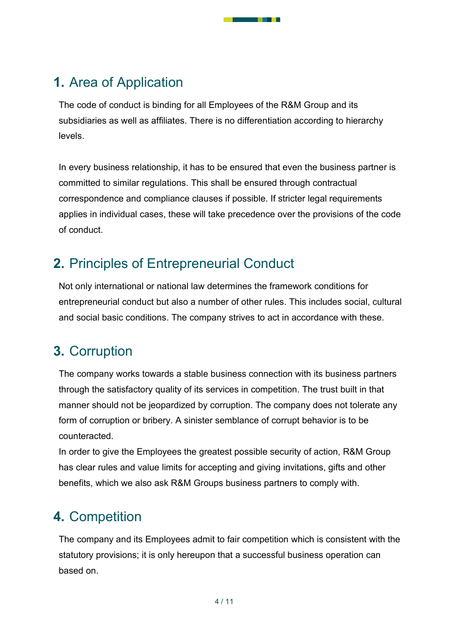## 1. Area of Application

The code of conduct is binding for all Employees of the R&M Group and its subsidiaries as well as affiliates. There is no differentiation according to hierarchy levels.

- 11

In every business relationship, it has to be ensured that even the business partner is committed to similar regulations. This shall be ensured through contractual correspondence and compliance clauses if possible. If stricter legal requirements applies in individual cases, these will take precedence over the provisions of the code of conduct.

### 2. Principles of Entrepreneurial Conduct

Not only international or national law determines the framework conditions for entrepreneurial conduct but also a number of other rules. This includes social, cultural and social basic conditions. The company strives to act in accordance with these.

### 3. Corruption

The company works towards a stable business connection with its business partners through the satisfactory quality of its services in competition. The trust built in that manner should not be jeopardized by corruption. The company does not tolerate any form of corruption or bribery. A sinister semblance of corrupt behavior is to be counteracted.

In order to give the Employees the greatest possible security of action, R&M Group has clear rules and value limits for accepting and giving invitations, gifts and other benefits, which we also ask R&M Groups business partners to comply with.

# 4. Competition

The company and its Employees admit to fair competition which is consistent with the statutory provisions; it is only hereupon that a successful business operation can based on.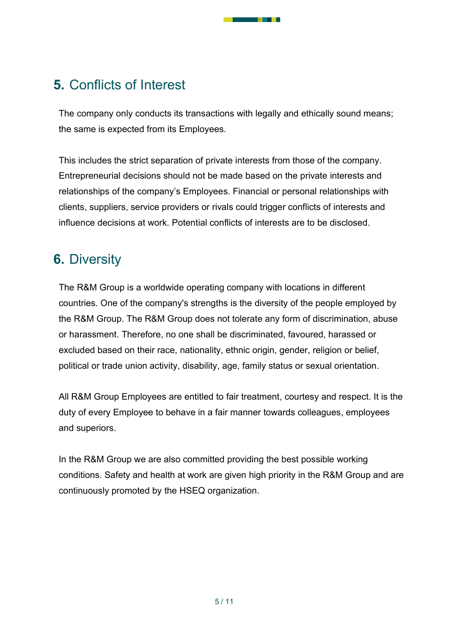### 5. Conflicts of Interest

The company only conducts its transactions with legally and ethically sound means; the same is expected from its Employees.

a sa Tana

This includes the strict separation of private interests from those of the company. Entrepreneurial decisions should not be made based on the private interests and relationships of the company's Employees. Financial or personal relationships with clients, suppliers, service providers or rivals could trigger conflicts of interests and influence decisions at work. Potential conflicts of interests are to be disclosed.

### 6. Diversity

The R&M Group is a worldwide operating company with locations in different countries. One of the company's strengths is the diversity of the people employed by the R&M Group. The R&M Group does not tolerate any form of discrimination, abuse or harassment. Therefore, no one shall be discriminated, favoured, harassed or excluded based on their race, nationality, ethnic origin, gender, religion or belief, political or trade union activity, disability, age, family status or sexual orientation.

All R&M Group Employees are entitled to fair treatment, courtesy and respect. It is the duty of every Employee to behave in a fair manner towards colleagues, employees and superiors.

In the R&M Group we are also committed providing the best possible working conditions. Safety and health at work are given high priority in the R&M Group and are continuously promoted by the HSEQ organization.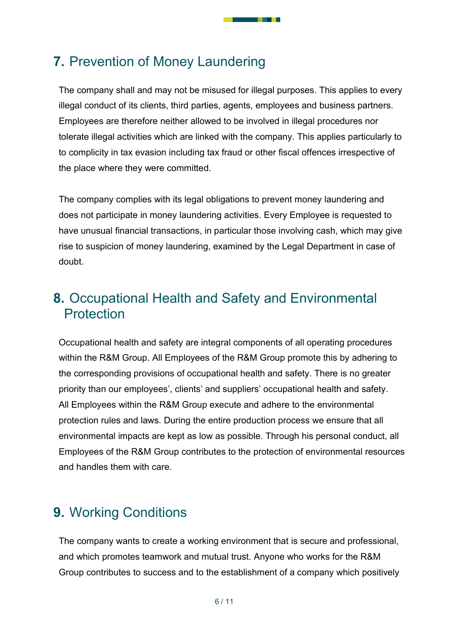### 7. Prevention of Money Laundering

The company shall and may not be misused for illegal purposes. This applies to every illegal conduct of its clients, third parties, agents, employees and business partners. Employees are therefore neither allowed to be involved in illegal procedures nor tolerate illegal activities which are linked with the company. This applies particularly to to complicity in tax evasion including tax fraud or other fiscal offences irrespective of the place where they were committed.

- 11

The company complies with its legal obligations to prevent money laundering and does not participate in money laundering activities. Every Employee is requested to have unusual financial transactions, in particular those involving cash, which may give rise to suspicion of money laundering, examined by the Legal Department in case of doubt.

### 8. Occupational Health and Safety and Environmental **Protection**

Occupational health and safety are integral components of all operating procedures within the R&M Group. All Employees of the R&M Group promote this by adhering to the corresponding provisions of occupational health and safety. There is no greater priority than our employees', clients' and suppliers' occupational health and safety. All Employees within the R&M Group execute and adhere to the environmental protection rules and laws. During the entire production process we ensure that all environmental impacts are kept as low as possible. Through his personal conduct, all Employees of the R&M Group contributes to the protection of environmental resources and handles them with care.

### 9. Working Conditions

The company wants to create a working environment that is secure and professional, and which promotes teamwork and mutual trust. Anyone who works for the R&M Group contributes to success and to the establishment of a company which positively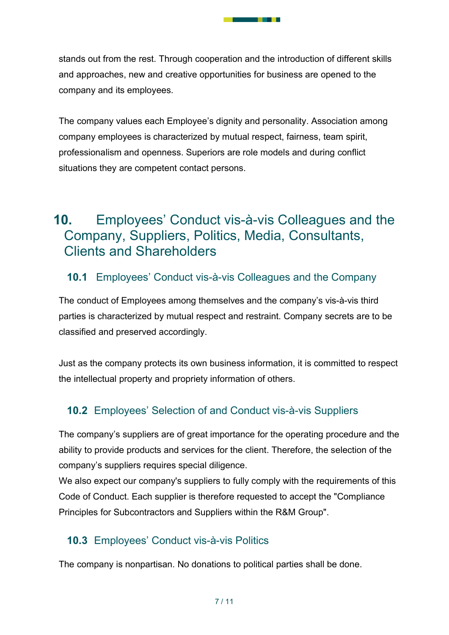stands out from the rest. Through cooperation and the introduction of different skills and approaches, new and creative opportunities for business are opened to the company and its employees.

- 11

The company values each Employee's dignity and personality. Association among company employees is characterized by mutual respect, fairness, team spirit, professionalism and openness. Superiors are role models and during conflict situations they are competent contact persons.

### 10. Employees' Conduct vis-à-vis Colleagues and the Company, Suppliers, Politics, Media, Consultants, Clients and Shareholders

#### 10.1 Employees' Conduct vis-à-vis Colleagues and the Company

The conduct of Employees among themselves and the company's vis-à-vis third parties is characterized by mutual respect and restraint. Company secrets are to be classified and preserved accordingly.

Just as the company protects its own business information, it is committed to respect the intellectual property and propriety information of others.

#### 10.2 Employees' Selection of and Conduct vis-à-vis Suppliers

The company's suppliers are of great importance for the operating procedure and the ability to provide products and services for the client. Therefore, the selection of the company's suppliers requires special diligence.

We also expect our company's suppliers to fully comply with the requirements of this Code of Conduct. Each supplier is therefore requested to accept the "Compliance Principles for Subcontractors and Suppliers within the R&M Group".

#### 10.3 Employees' Conduct vis-à-vis Politics

The company is nonpartisan. No donations to political parties shall be done.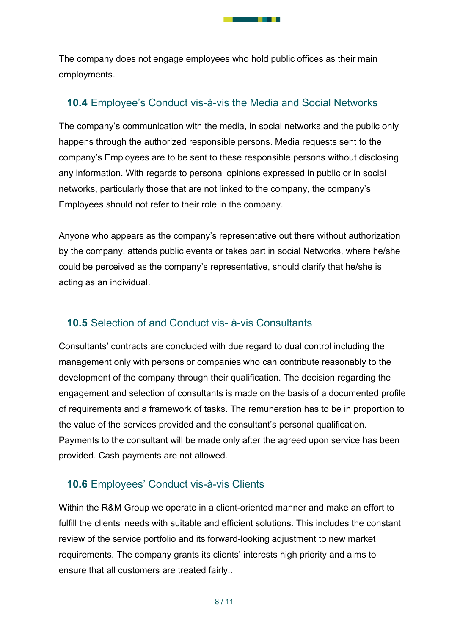The company does not engage employees who hold public offices as their main employments.

- 11

#### 10.4 Employee's Conduct vis-à-vis the Media and Social Networks

The company's communication with the media, in social networks and the public only happens through the authorized responsible persons. Media requests sent to the company's Employees are to be sent to these responsible persons without disclosing any information. With regards to personal opinions expressed in public or in social networks, particularly those that are not linked to the company, the company's Employees should not refer to their role in the company.

Anyone who appears as the company's representative out there without authorization by the company, attends public events or takes part in social Networks, where he/she could be perceived as the company's representative, should clarify that he/she is acting as an individual.

#### 10.5 Selection of and Conduct vis- à-vis Consultants

Consultants' contracts are concluded with due regard to dual control including the management only with persons or companies who can contribute reasonably to the development of the company through their qualification. The decision regarding the engagement and selection of consultants is made on the basis of a documented profile of requirements and a framework of tasks. The remuneration has to be in proportion to the value of the services provided and the consultant's personal qualification. Payments to the consultant will be made only after the agreed upon service has been provided. Cash payments are not allowed.

#### 10.6 Employees' Conduct vis-à-vis Clients

Within the R&M Group we operate in a client-oriented manner and make an effort to fulfill the clients' needs with suitable and efficient solutions. This includes the constant review of the service portfolio and its forward-looking adjustment to new market requirements. The company grants its clients' interests high priority and aims to ensure that all customers are treated fairly..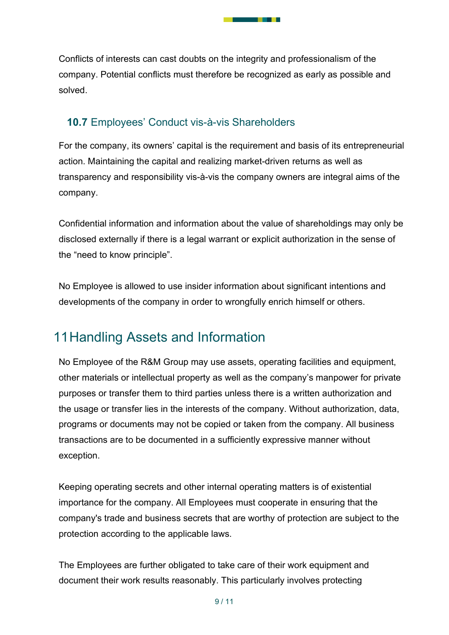Conflicts of interests can cast doubts on the integrity and professionalism of the company. Potential conflicts must therefore be recognized as early as possible and solved.

. . .

#### 10.7 Employees' Conduct vis-à-vis Shareholders

For the company, its owners' capital is the requirement and basis of its entrepreneurial action. Maintaining the capital and realizing market-driven returns as well as transparency and responsibility vis-à-vis the company owners are integral aims of the company.

Confidential information and information about the value of shareholdings may only be disclosed externally if there is a legal warrant or explicit authorization in the sense of the "need to know principle".

No Employee is allowed to use insider information about significant intentions and developments of the company in order to wrongfully enrich himself or others.

# 11 Handling Assets and Information

No Employee of the R&M Group may use assets, operating facilities and equipment, other materials or intellectual property as well as the company's manpower for private purposes or transfer them to third parties unless there is a written authorization and the usage or transfer lies in the interests of the company. Without authorization, data, programs or documents may not be copied or taken from the company. All business transactions are to be documented in a sufficiently expressive manner without exception.

Keeping operating secrets and other internal operating matters is of existential importance for the company. All Employees must cooperate in ensuring that the company's trade and business secrets that are worthy of protection are subject to the protection according to the applicable laws.

The Employees are further obligated to take care of their work equipment and document their work results reasonably. This particularly involves protecting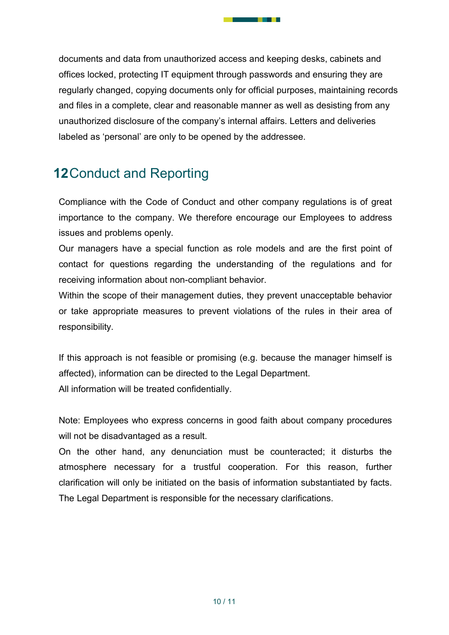documents and data from unauthorized access and keeping desks, cabinets and offices locked, protecting IT equipment through passwords and ensuring they are regularly changed, copying documents only for official purposes, maintaining records and files in a complete, clear and reasonable manner as well as desisting from any unauthorized disclosure of the company's internal affairs. Letters and deliveries labeled as 'personal' are only to be opened by the addressee.

- 11

# 12 Conduct and Reporting

Compliance with the Code of Conduct and other company regulations is of great importance to the company. We therefore encourage our Employees to address issues and problems openly.

Our managers have a special function as role models and are the first point of contact for questions regarding the understanding of the regulations and for receiving information about non-compliant behavior.

Within the scope of their management duties, they prevent unacceptable behavior or take appropriate measures to prevent violations of the rules in their area of responsibility.

If this approach is not feasible or promising (e.g. because the manager himself is affected), information can be directed to the Legal Department. All information will be treated confidentially.

Note: Employees who express concerns in good faith about company procedures will not be disadvantaged as a result.

On the other hand, any denunciation must be counteracted; it disturbs the atmosphere necessary for a trustful cooperation. For this reason, further clarification will only be initiated on the basis of information substantiated by facts. The Legal Department is responsible for the necessary clarifications.